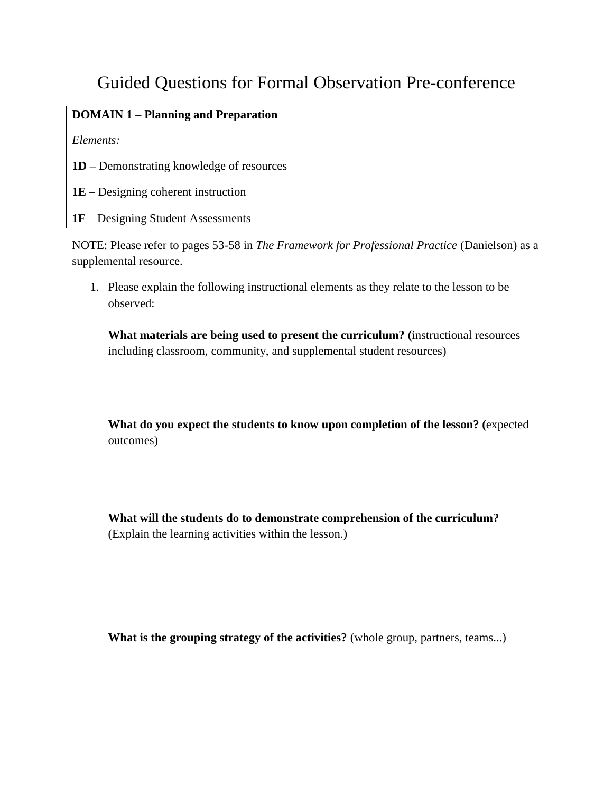## Guided Questions for Formal Observation Pre-conference

## **DOMAIN 1 – Planning and Preparation**

*Elements:*

**1D –** Demonstrating knowledge of resources

**1E –** Designing coherent instruction

**1F** – Designing Student Assessments

NOTE: Please refer to pages 53-58 in *The Framework for Professional Practice* (Danielson) as a supplemental resource.

1. Please explain the following instructional elements as they relate to the lesson to be observed:

**What materials are being used to present the curriculum? (**instructional resources including classroom, community, and supplemental student resources)

**What do you expect the students to know upon completion of the lesson? (**expected outcomes)

**What will the students do to demonstrate comprehension of the curriculum?** (Explain the learning activities within the lesson.)

**What is the grouping strategy of the activities?** (whole group, partners, teams...)